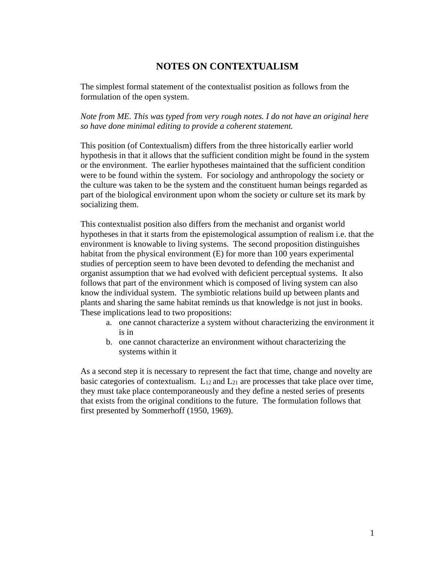## **NOTES ON CONTEXTUALISM**

The simplest formal statement of the contextualist position as follows from the formulation of the open system.

*Note from ME. This was typed from very rough notes. I do not have an original here so have done minimal editing to provide a coherent statement.*

This position (of Contextualism) differs from the three historically earlier world hypothesis in that it allows that the sufficient condition might be found in the system or the environment. The earlier hypotheses maintained that the sufficient condition were to be found within the system. For sociology and anthropology the society or the culture was taken to be the system and the constituent human beings regarded as part of the biological environment upon whom the society or culture set its mark by socializing them.

This contextualist position also differs from the mechanist and organist world hypotheses in that it starts from the epistemological assumption of realism i.e. that the environment is knowable to living systems. The second proposition distinguishes habitat from the physical environment (E) for more than 100 years experimental studies of perception seem to have been devoted to defending the mechanist and organist assumption that we had evolved with deficient perceptual systems. It also follows that part of the environment which is composed of living system can also know the individual system. The symbiotic relations build up between plants and plants and sharing the same habitat reminds us that knowledge is not just in books. These implications lead to two propositions:

- a. one cannot characterize a system without characterizing the environment it is in
- b. one cannot characterize an environment without characterizing the systems within it

As a second step it is necessary to represent the fact that time, change and novelty are basic categories of contextualism.  $L_{12}$  and  $L_{21}$  are processes that take place over time, they must take place contemporaneously and they define a nested series of presents that exists from the original conditions to the future. The formulation follows that first presented by Sommerhoff (1950, 1969).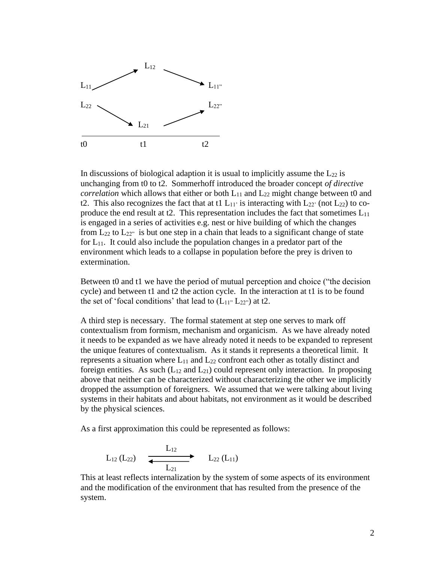

In discussions of biological adaption it is usual to implicitly assume the  $L_{22}$  is unchanging from t0 to t2. Sommerhoff introduced the broader concept *of directive correlation* which allows that either or both  $L_{11}$  and  $L_{22}$  might change between t0 and t2. This also recognizes the fact that at t1  $L_{11}$  is interacting with  $L_{22}$  (not  $L_{22}$ ) to coproduce the end result at t2. This representation includes the fact that sometimes  $L_{11}$ is engaged in a series of activities e.g. nest or hive building of which the changes from  $L_{22}$  to  $L_{22}$ " is but one step in a chain that leads to a significant change of state for  $L_{11}$ . It could also include the population changes in a predator part of the environment which leads to a collapse in population before the prey is driven to extermination.

Between t0 and t1 we have the period of mutual perception and choice ("the decision cycle) and between t1 and t2 the action cycle. In the interaction at t1 is to be found the set of 'focal conditions' that lead to  $(L_{11}^{\prime\prime}, L_{22}^{\prime\prime})$  at t2.

A third step is necessary. The formal statement at step one serves to mark off contextualism from formism, mechanism and organicism. As we have already noted it needs to be expanded as we have already noted it needs to be expanded to represent the unique features of contextualism. As it stands it represents a theoretical limit. It represents a situation where  $L_{11}$  and  $L_{22}$  confront each other as totally distinct and foreign entities. As such  $(L_{12} \text{ and } L_{21})$  could represent only interaction. In proposing above that neither can be characterized without characterizing the other we implicitly dropped the assumption of foreigners. We assumed that we were talking about living systems in their habitats and about habitats, not environment as it would be described by the physical sciences.

As a first approximation this could be represented as follows:

$$
L_{12} (L_{22}) \quad \xrightarrow{\hspace{0.5cm}L_{12}} \hspace{0.5cm} L_{22} (L_{11})
$$

This at least reflects internalization by the system of some aspects of its environment and the modification of the environment that has resulted from the presence of the system.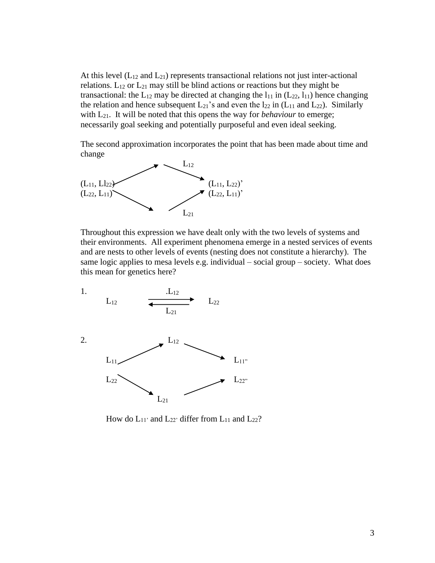At this level  $(L_{12}$  and  $L_{21}$ ) represents transactional relations not just inter-actional relations.  $L_{12}$  or  $L_{21}$  may still be blind actions or reactions but they might be transactional: the  $L_{12}$  may be directed at changing the  $l_{11}$  in  $(L_{22}, l_{11})$  hence changing the relation and hence subsequent  $L_{21}$ 's and even the  $l_{22}$  in ( $L_{11}$  and  $L_{22}$ ). Similarly with L<sub>21</sub>. It will be noted that this opens the way for *behaviour* to emerge; necessarily goal seeking and potentially purposeful and even ideal seeking.

The second approximation incorporates the point that has been made about time and change



Throughout this expression we have dealt only with the two levels of systems and their environments. All experiment phenomena emerge in a nested services of events and are nests to other levels of events (nesting does not constitute a hierarchy). The same logic applies to mesa levels e.g. individual – social group – society. What does this mean for genetics here?



How do  $L_{11}$ ' and  $L_{22}$ ' differ from  $L_{11}$  and  $L_{22}$ ?